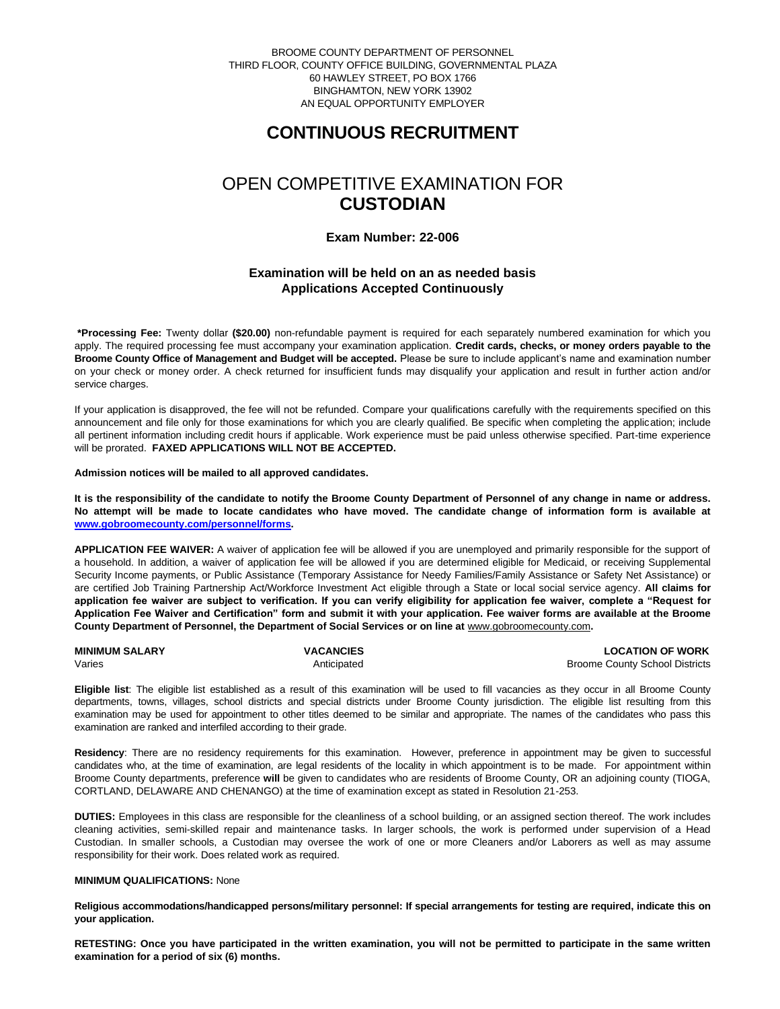BROOME COUNTY DEPARTMENT OF PERSONNEL THIRD FLOOR, COUNTY OFFICE BUILDING, GOVERNMENTAL PLAZA 60 HAWLEY STREET, PO BOX 1766 BINGHAMTON, NEW YORK 13902 AN EQUAL OPPORTUNITY EMPLOYER

# **CONTINUOUS RECRUITMENT**

# OPEN COMPETITIVE EXAMINATION FOR **CUSTODIAN**

## **Exam Number: 22-006**

# **Examination will be held on an as needed basis Applications Accepted Continuously**

**\*Processing Fee:** Twenty dollar **(\$20.00)** non-refundable payment is required for each separately numbered examination for which you apply. The required processing fee must accompany your examination application. **Credit cards, checks, or money orders payable to the Broome County Office of Management and Budget will be accepted.** Please be sure to include applicant's name and examination number on your check or money order. A check returned for insufficient funds may disqualify your application and result in further action and/or service charges.

If your application is disapproved, the fee will not be refunded. Compare your qualifications carefully with the requirements specified on this announcement and file only for those examinations for which you are clearly qualified. Be specific when completing the application; include all pertinent information including credit hours if applicable. Work experience must be paid unless otherwise specified. Part-time experience will be prorated. **FAXED APPLICATIONS WILL NOT BE ACCEPTED.** 

**Admission notices will be mailed to all approved candidates.** 

**It is the responsibility of the candidate to notify the Broome County Department of Personnel of any change in name or address. No attempt will be made to locate candidates who have moved. The candidate change of information form is available at [www.gobroomecounty.com/personnel/forms.](http://www.gobroomecounty.com/personnel/forms)** 

**APPLICATION FEE WAIVER:** A waiver of application fee will be allowed if you are unemployed and primarily responsible for the support of a household. In addition, a waiver of application fee will be allowed if you are determined eligible for Medicaid, or receiving Supplemental Security Income payments, or Public Assistance (Temporary Assistance for Needy Families/Family Assistance or Safety Net Assistance) or are certified Job Training Partnership Act/Workforce Investment Act eligible through a State or local social service agency. **All claims for application fee waiver are subject to verification. If you can verify eligibility for application fee waiver, complete a "Request for Application Fee Waiver and Certification" form and submit it with your application. Fee waiver forms are available at the Broome County Department of Personnel, the Department of Social Services or on line at** www.gobroomecounty.com**.** 

**MINIMUM SALARY VACANCIES LOCATION OF WORK** Varies **Anticipated** Anticipated **Broome County School Districts** Anticipated **Broome County School Districts** 

**Eligible list**: The eligible list established as a result of this examination will be used to fill vacancies as they occur in all Broome County departments, towns, villages, school districts and special districts under Broome County jurisdiction. The eligible list resulting from this examination may be used for appointment to other titles deemed to be similar and appropriate. The names of the candidates who pass this examination are ranked and interfiled according to their grade.

**Residency**: There are no residency requirements for this examination. However, preference in appointment may be given to successful candidates who, at the time of examination, are legal residents of the locality in which appointment is to be made. For appointment within Broome County departments, preference **will** be given to candidates who are residents of Broome County, OR an adjoining county (TIOGA, CORTLAND, DELAWARE AND CHENANGO) at the time of examination except as stated in Resolution 21-253.

**DUTIES:** Employees in this class are responsible for the cleanliness of a school building, or an assigned section thereof. The work includes cleaning activities, semi-skilled repair and maintenance tasks. In larger schools, the work is performed under supervision of a Head Custodian. In smaller schools, a Custodian may oversee the work of one or more Cleaners and/or Laborers as well as may assume responsibility for their work. Does related work as required.

### **MINIMUM QUALIFICATIONS:** None

**Religious accommodations/handicapped persons/military personnel: If special arrangements for testing are required, indicate this on your application.**

**RETESTING: Once you have participated in the written examination, you will not be permitted to participate in the same written examination for a period of six (6) months.**